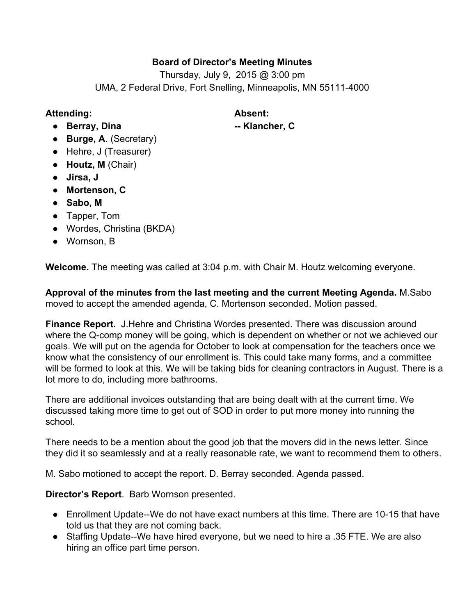# **Board of Director's Meeting Minutes**

Thursday, July 9, 2015 @ 3:00 pm UMA, 2 Federal Drive, Fort Snelling, Minneapolis, MN 55111-4000

## **Attending: Absent:**

● **Berray, Dina Klancher, C**

- **Burge, A**. (Secretary)
- Hehre, J (Treasurer)
- **Houtz, M**(Chair)
- **Jirsa, J**
- **● Mortenson, C**
- **Sabo, M**
- Tapper, Tom
- **●** Wordes, Christina (BKDA)
- Wornson, B

**Welcome.**The meeting was called at 3:04 p.m. with Chair M. Houtz welcoming everyone.

**Approval of the minutes from the last meeting and the current Meeting Agenda.** M.Sabo moved to accept the amended agenda, C. Mortenson seconded. Motion passed.

**Finance Report.** J.Hehre and Christina Wordes presented. There was discussion around where the Q-comp money will be going, which is dependent on whether or not we achieved our goals. We will put on the agenda for October to look at compensation for the teachers once we know what the consistency of our enrollment is. This could take many forms, and a committee will be formed to look at this. We will be taking bids for cleaning contractors in August. There is a lot more to do, including more bathrooms.

There are additional invoices outstanding that are being dealt with at the current time. We discussed taking more time to get out of SOD in order to put more money into running the school.

There needs to be a mention about the good job that the movers did in the news letter. Since they did it so seamlessly and at a really reasonable rate, we want to recommend them to others.

M. Sabo motioned to accept the report. D. Berray seconded. Agenda passed.

**Director's Report**. Barb Wornson presented.

- $\bullet$  Enrollment Update-We do not have exact numbers at this time. There are 10-15 that have told us that they are not coming back.
- Staffing Update--We have hired everyone, but we need to hire a .35 FTE. We are also hiring an office part time person.